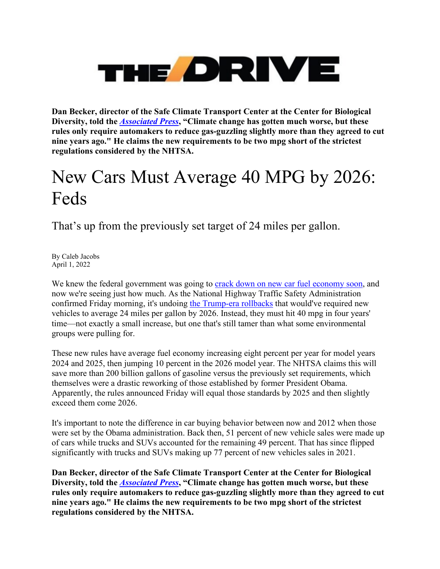## **THE ORIVE**

**Dan Becker, director of the Safe Climate Transport Center at the Center for Biological Diversity, told the** *[Associated Press](https://apnews.com/article/climate-business-donald-trump-united-states-environment-f46e6892e95d83a41f75b9d56edadbda)***, "Climate change has gotten much worse, but these rules only require automakers to reduce gas-guzzling slightly more than they agreed to cut nine years ago." He claims the new requirements to be two mpg short of the strictest regulations considered by the NHTSA.**

## New Cars Must Average 40 MPG by 2026: Feds

That's up from the previously set target of 24 miles per gallon.

By Caleb Jacobs April 1, 2022

We knew the federal government was going to **crack down on new car fuel economy soon**, and now we're seeing just how much. As the National Highway Traffic Safety Administration confirmed Friday morning, it's undoing [the Trump-era rollbacks](https://www.thedrive.com/tech/32848/trump-and-the-automakers-who-side-with-his-fuel-economy-rollback-are-on-the-wrong-side-of-history) that would've required new vehicles to average 24 miles per gallon by 2026. Instead, they must hit 40 mpg in four years' time—not exactly a small increase, but one that's still tamer than what some environmental groups were pulling for.

These new rules have average fuel economy increasing eight percent per year for model years 2024 and 2025, then jumping 10 percent in the 2026 model year. The NHTSA claims this will save more than 200 billion gallons of gasoline versus the previously set requirements, which themselves were a drastic reworking of those established by former President Obama. Apparently, the rules announced Friday will equal those standards by 2025 and then slightly exceed them come 2026.

It's important to note the difference in car buying behavior between now and 2012 when those were set by the Obama administration. Back then, 51 percent of new vehicle sales were made up of cars while trucks and SUVs accounted for the remaining 49 percent. That has since flipped significantly with trucks and SUVs making up 77 percent of new vehicles sales in 2021.

**Dan Becker, director of the Safe Climate Transport Center at the Center for Biological Diversity, told the** *[Associated Press](https://apnews.com/article/climate-business-donald-trump-united-states-environment-f46e6892e95d83a41f75b9d56edadbda)***, "Climate change has gotten much worse, but these rules only require automakers to reduce gas-guzzling slightly more than they agreed to cut nine years ago." He claims the new requirements to be two mpg short of the strictest regulations considered by the NHTSA.**